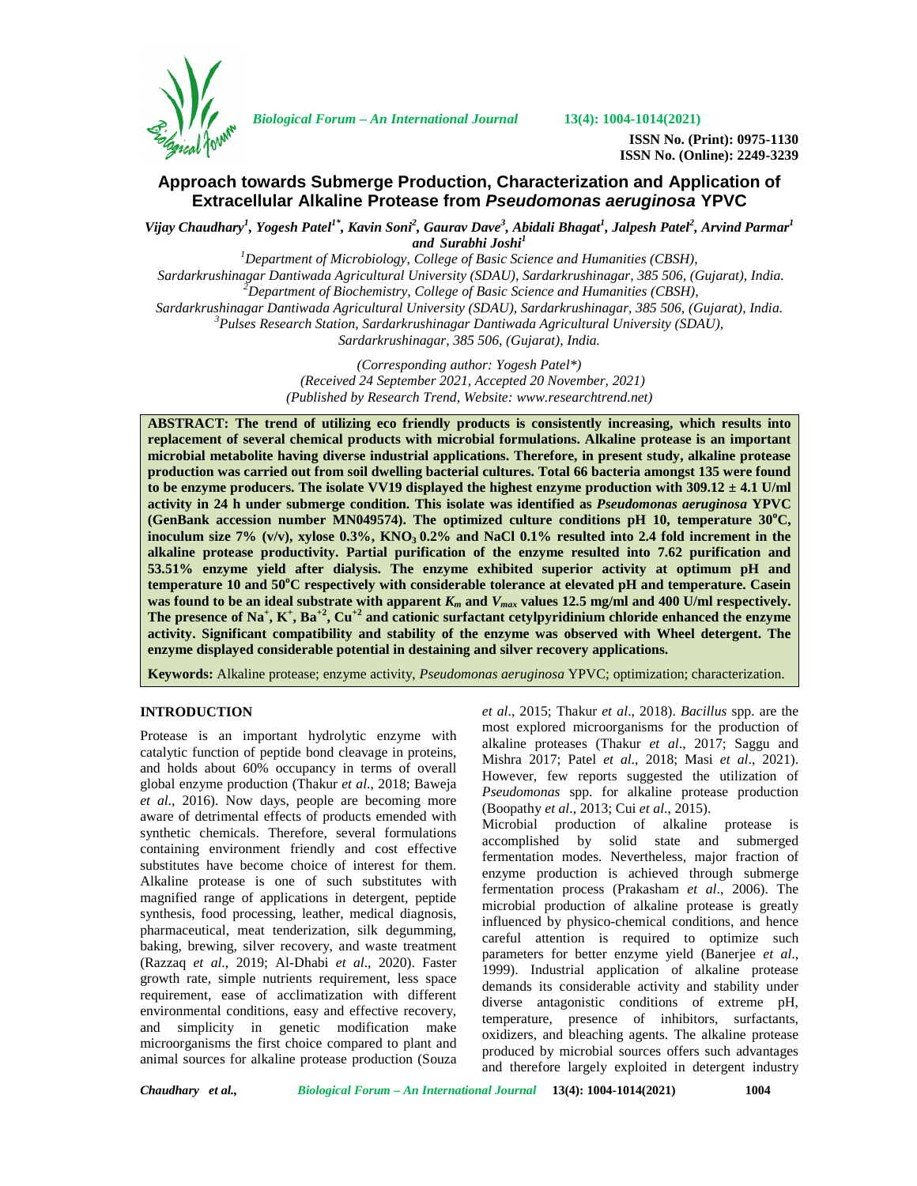

*Biological Forum – An International Journal* **13(4): 1004-1014(2021)**

**ISSN No. (Print): 0975-1130 ISSN No. (Online): 2249-3239**

# **Approach towards Submerge Production, Characterization and Application of Extracellular Alkaline Protease from** *Pseudomonas aeruginosa* **YPVC**

*Vijay Chaudhary<sup>1</sup> , Yogesh Patel1\*, Kavin Soni<sup>2</sup> , Gaurav Dave<sup>3</sup> , Abidali Bhagat<sup>1</sup> , Jalpesh Patel<sup>2</sup> , Arvind Parmar<sup>1</sup> and Surabhi Joshi<sup>1</sup>*

*<sup>1</sup>Department of Microbiology, College of Basic Science and Humanities (CBSH),*

*Sardarkrushinagar Dantiwada Agricultural University (SDAU), Sardarkrushinagar, 385 506, (Gujarat), India. <sup>2</sup>Department of Biochemistry, College of Basic Science and Humanities (CBSH),*

*Sardarkrushinagar Dantiwada Agricultural University (SDAU), Sardarkrushinagar, 385 506, (Gujarat), India. <sup>3</sup>Pulses Research Station, Sardarkrushinagar Dantiwada Agricultural University (SDAU),*

*Sardarkrushinagar, 385 506, (Gujarat), India.*

*(Corresponding author: Yogesh Patel\*) (Received 24 September 2021, Accepted 20 November, 2021) (Published by Research Trend, Website: [www.researchtrend.net\)](www.researchtrend.net)*

**ABSTRACT: The trend of utilizing eco friendly products is consistently increasing, which results into replacement of several chemical products with microbial formulations. Alkaline protease is an important microbial metabolite having diverse industrial applications. Therefore, in present study, alkaline protease production was carried out from soil dwelling bacterial cultures. Total 66 bacteria amongst 135 were found to be enzyme producers. The isolate VV19 displayed the highest enzyme production with 309.12 ± 4.1 U/ml activity in 24 h under submerge condition. This isolate was identified as** *Pseudomonas aeruginosa* **YPVC (GenBank accession number MN049574). The optimized culture conditions pH 10, temperature 30<sup>o</sup>C, inoculum size 7% (v/v), xylose 0.3%, KNO<sup>3</sup> 0.2% and NaCl 0.1% resulted into 2.4 fold increment in the alkaline protease productivity. Partial purification of the enzyme resulted into 7.62 purification and 53.51% enzyme yield after dialysis. The enzyme exhibited superior activity at optimum pH and temperature 10 and 50<sup>o</sup>C respectively with considerable tolerance at elevated pH and temperature. Casein** was found to be an ideal substrate with apparent  $K_m$  and  $V_{max}$  values 12.5 mg/ml and 400 U/ml respectively. **The presence of Na<sup>+</sup> , K<sup>+</sup> , Ba+2, Cu+2 and cationic surfactant cetylpyridinium chloride enhanced the enzyme activity. Significant compatibility and stability of the enzyme was observed with Wheel detergent. The enzyme displayed considerable potential in destaining and silver recovery applications.**

**Keywords:** Alkaline protease; enzyme activity, *Pseudomonas aeruginosa* YPVC; optimization; characterization.

### **INTRODUCTION**

Protease is an important hydrolytic enzyme with catalytic function of peptide bond cleavage in proteins, and holds about 60% occupancy in terms of overall global enzyme production (Thakur *et al*., 2018; Baweja *et al*., 2016). Now days, people are becoming more aware of detrimental effects of products emended with synthetic chemicals. Therefore, several formulations containing environment friendly and cost effective substitutes have become choice of interest for them. Alkaline protease is one of such substitutes with magnified range of applications in detergent, peptide synthesis, food processing, leather, medical diagnosis, pharmaceutical, meat tenderization, silk degumming, baking, brewing, silver recovery, and waste treatment (Razzaq *et al*., 2019; Al-Dhabi *et al*., 2020). Faster growth rate, simple nutrients requirement, less space requirement, ease of acclimatization with different environmental conditions, easy and effective recovery, and simplicity in genetic modification make microorganisms the first choice compared to plant and animal sources for alkaline protease production (Souza *et al*., 2015; Thakur *et al*., 2018). *Bacillus* spp. are the most explored microorganisms for the production of alkaline proteases (Thakur *et al*., 2017; Saggu and Mishra 2017; Patel *et al*., 2018; Masi *et al*., 2021). However, few reports suggested the utilization of *Pseudomonas* spp. for alkaline protease production (Boopathy *et al*., 2013; Cui *et al*., 2015).

Microbial production of alkaline protease is accomplished by solid state and submerged fermentation modes. Nevertheless, major fraction of enzyme production is achieved through submerge fermentation process (Prakasham *et al*., 2006). The microbial production of alkaline protease is greatly influenced by physico-chemical conditions, and hence careful attention is required to optimize such parameters for better enzyme yield (Banerjee *et al*., 1999). Industrial application of alkaline protease demands its considerable activity and stability under diverse antagonistic conditions of extreme pH, temperature, presence of inhibitors, surfactants, oxidizers, and bleaching agents. The alkaline protease produced by microbial sources offers such advantages and therefore largely exploited in detergent industry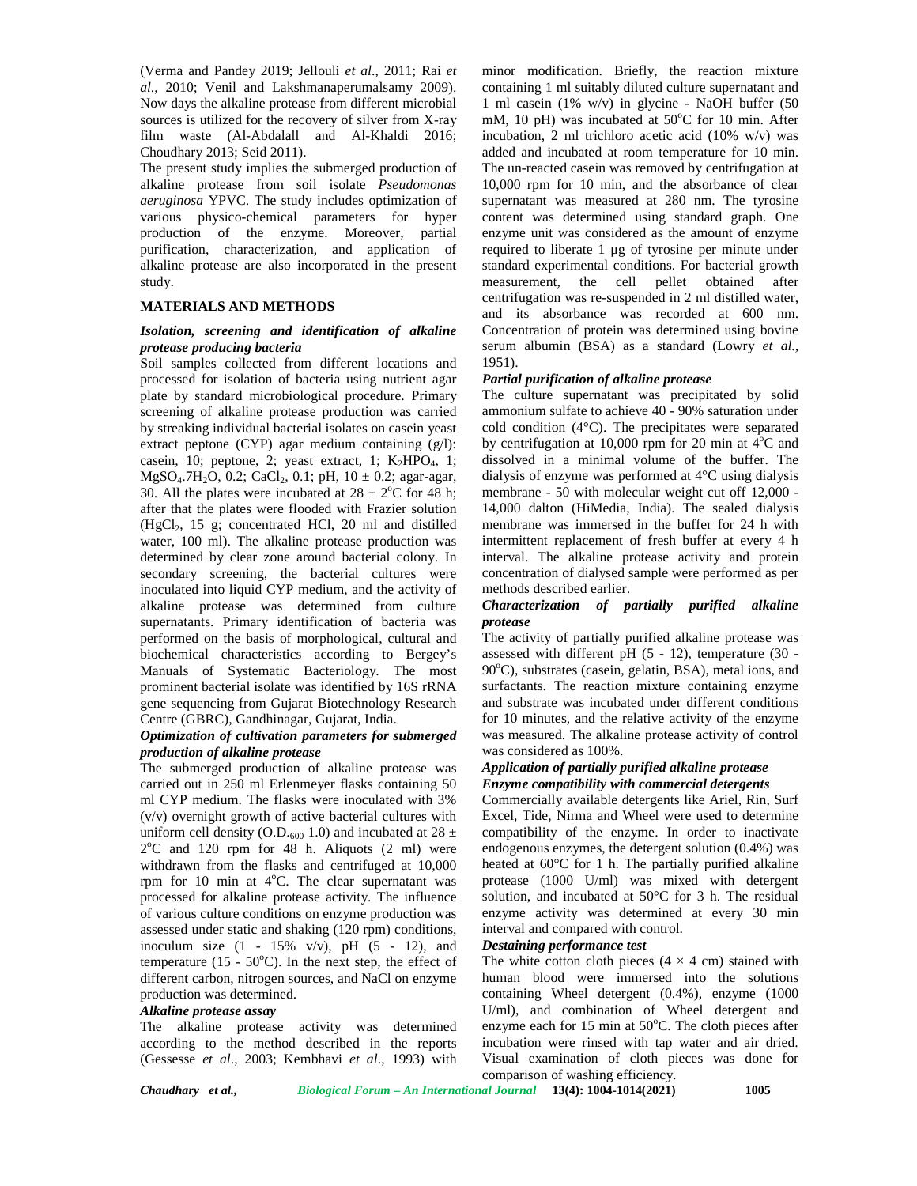(Verma and Pandey 2019; Jellouli *et al*., 2011; Rai *et al*., 2010; Venil and Lakshmanaperumalsamy 2009). Now days the alkaline protease from different microbial sources is utilized for the recovery of silver from X-ray film waste (Al-Abdalall and Al-Khaldi 2016; Choudhary 2013; Seid 2011).

The present study implies the submerged production of alkaline protease from soil isolate *Pseudomonas aeruginosa* YPVC. The study includes optimization of various physico-chemical parameters for hyper production of the enzyme. Moreover, partial purification, characterization, and application of alkaline protease are also incorporated in the present study.

# **MATERIALS AND METHODS**

### *Isolation, screening and identification of alkaline protease producing bacteria*

Soil samples collected from different locations and processed for isolation of bacteria using nutrient agar plate by standard microbiological procedure. Primary screening of alkaline protease production was carried by streaking individual bacterial isolates on casein yeast extract peptone (CYP) agar medium containing (g/l): casein, 10; peptone, 2; yeast extract, 1;  $K_2HPO_4$ , 1; MgSO<sub>4</sub>.7H<sub>2</sub>O, 0.2; CaCl<sub>2</sub>, 0.1; pH,  $10 \pm 0.2$ ; agar-agar, 30. All the plates were incubated at  $28 \pm 2^{\circ}$ C for 48 h; r after that the plates were flooded with Frazier solution (HgCl2, 15 g; concentrated HCl, 20 ml and distilled water, 100 ml). The alkaline protease production was determined by clear zone around bacterial colony. In secondary screening, the bacterial cultures were inoculated into liquid CYP medium, and the activity of alkaline protease was determined from culture supernatants. Primary identification of bacteria was performed on the basis of morphological, cultural and biochemical characteristics according to Bergey's Manuals of Systematic Bacteriology. The most prominent bacterial isolate was identified by 16S rRNA gene sequencing from Gujarat Biotechnology Research Centre (GBRC), Gandhinagar, Gujarat, India.

### *Optimization of cultivation parameters for submerged production of alkaline protease*

The submerged production of alkaline protease was carried out in 250 ml Erlenmeyer flasks containing 50 ml CYP medium. The flasks were inoculated with 3% (v/v) overnight growth of active bacterial cultures with uniform cell density (O.D.<sub>600</sub> 1.0) and incubated at 28  $\pm$ 2°C and 120 rpm for 48 h. Aliquots (2 ml) were endo withdrawn from the flasks and centrifuged at 10,000 rpm for 10 min at  $4^{\circ}$ C. The clear supernatant was processed for alkaline protease activity. The influence of various culture conditions on enzyme production was assessed under static and shaking (120 rpm) conditions, inoculum size  $(1 - 15\% \text{ v/v})$ , pH  $(5 - 12)$ , and temperature (15 -  $50^{\circ}$ C). In the next step, the effect of different carbon, nitrogen sources, and NaCl on enzyme production was determined.

### *Alkaline protease assay*

The alkaline protease activity was determined according to the method described in the reports (Gessesse *et al*., 2003; Kembhavi *et al*., 1993) with

minor modification. Briefly, the reaction mixture containing 1 ml suitably diluted culture supernatant and 1 ml casein (1% w/v) in glycine - NaOH buffer (50 mM, 10 pH) was incubated at  $50^{\circ}$ C for 10 min. After incubation, 2 ml trichloro acetic acid (10% w/v) was added and incubated at room temperature for 10 min. The un-reacted casein was removed by centrifugation at 10,000 rpm for 10 min, and the absorbance of clear supernatant was measured at 280 nm. The tyrosine content was determined using standard graph. One enzyme unit was considered as the amount of enzyme required to liberate 1 μg of tyrosine per minute under standard experimental conditions. For bacterial growth measurement, the cell pellet obtained after centrifugation was re-suspended in 2 ml distilled water, and its absorbance was recorded at 600 nm. Concentration of protein was determined using bovine serum albumin (BSA) as a standard (Lowry *et al*., 1951).

### *Partial purification of alkaline protease*

The culture supernatant was precipitated by solid ammonium sulfate to achieve 40 - 90% saturation under cold condition (4°C). The precipitates were separated by centrifugation at 10,000 rpm for 20 min at  $4^{\circ}$ C and dissolved in a minimal volume of the buffer. The dialysis of enzyme was performed at 4°C using dialysis membrane - 50 with molecular weight cut off 12,000 - 14,000 dalton (HiMedia, India). The sealed dialysis membrane was immersed in the buffer for 24 h with intermittent replacement of fresh buffer at every 4 h interval. The alkaline protease activity and protein concentration of dialysed sample were performed as per methods described earlier.

### *Characterization of partially purified alkaline protease*

The activity of partially purified alkaline protease was assessed with different pH (5 - 12), temperature (30 -  $90^{\circ}$ C), substrates (casein, gelatin, BSA), metal ions, and surfactants. The reaction mixture containing enzyme and substrate was incubated under different conditions for 10 minutes, and the relative activity of the enzyme was measured. The alkaline protease activity of control was considered as 100%.

### *Application of partially purified alkaline protease Enzyme compatibility with commercial detergents*

Commercially available detergents like Ariel, Rin, Surf Excel, Tide, Nirma and Wheel were used to determine compatibility of the enzyme. In order to inactivate endogenous enzymes, the detergent solution (0.4%) was heated at 60°C for 1 h. The partially purified alkaline protease (1000 U/ml) was mixed with detergent solution, and incubated at 50°C for 3 h. The residual enzyme activity was determined at every 30 min interval and compared with control.

#### *Destaining performance test*

The white cotton cloth pieces  $(4 \times 4 \text{ cm})$  stained with human blood were immersed into the solutions containing Wheel detergent (0.4%), enzyme (1000 U/ml), and combination of Wheel detergent and enzyme each for 15 min at  $50^{\circ}$ C. The cloth pieces after incubation were rinsed with tap water and air dried. Visual examination of cloth pieces was done for comparison of washing efficiency.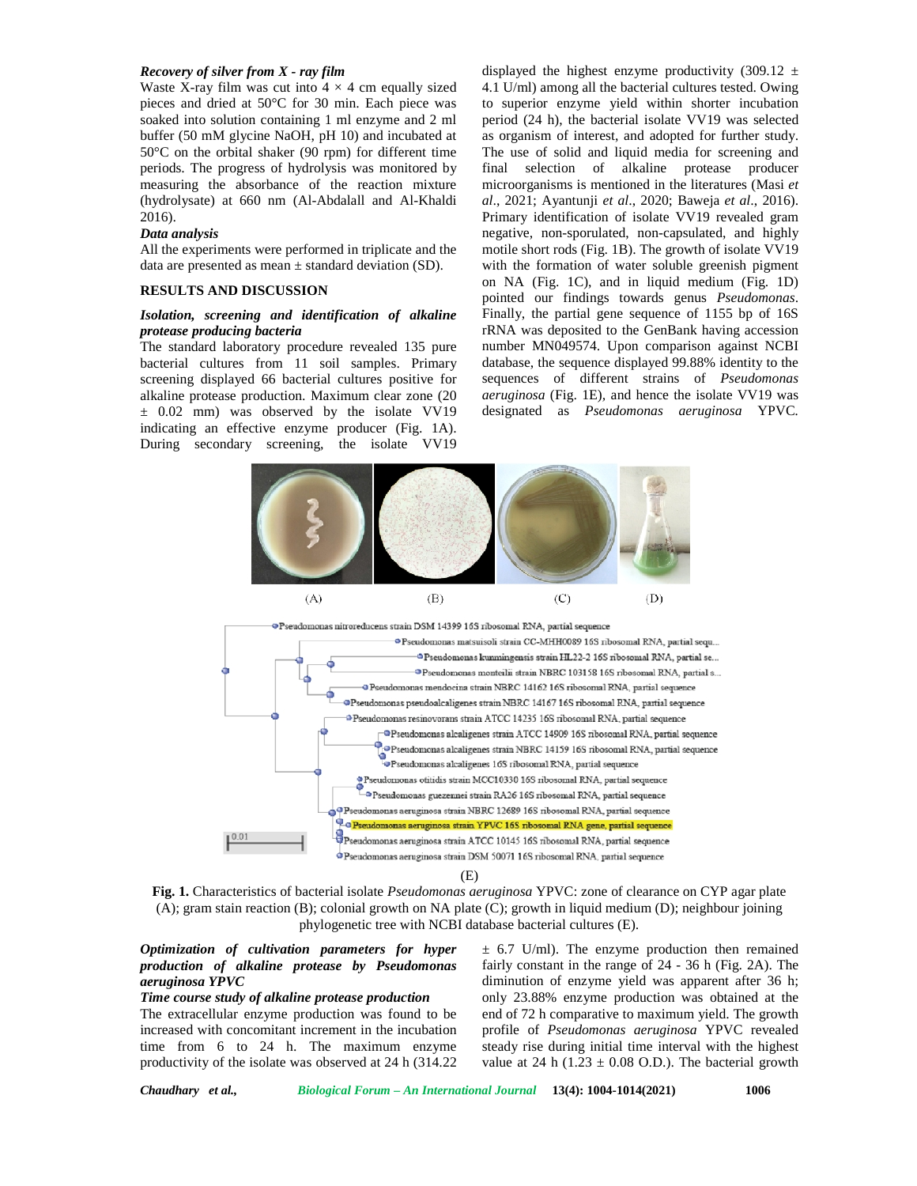#### *Recovery of silver from X - ray film*

Waste X-ray film was cut into  $4 \times 4$  cm equally sized pieces and dried at 50°C for 30 min. Each piece was soaked into solution containing 1 ml enzyme and 2 ml buffer (50 mM glycine NaOH, pH 10) and incubated at 50°C on the orbital shaker (90 rpm) for different time periods. The progress of hydrolysis was monitored by measuring the absorbance of the reaction mixture (hydrolysate) at 660 nm (Al-Abdalall and Al-Khaldi 2016).

#### *Data analysis*

All the experiments were performed in triplicate and the data are presented as mean  $\pm$  standard deviation (SD).

#### **RESULTS AND DISCUSSION**

#### *Isolation, screening and identification of alkaline protease producing bacteria*

The standard laboratory procedure revealed 135 pure bacterial cultures from 11 soil samples. Primary screening displayed 66 bacterial cultures positive for alkaline protease production. Maximum clear zone (20  $\pm$  0.02 mm) was observed by the isolate VV19 indicating an effective enzyme producer (Fig. 1A). During secondary screening, the isolate VV19

displayed the highest enzyme productivity (309.12  $\pm$ 4.1 U/ml) among all the bacterial cultures tested. Owing to superior enzyme yield within shorter incubation period (24 h), the bacterial isolate VV19 was selected as organism of interest, and adopted for further study. The use of solid and liquid media for screening and final selection of alkaline protease producer microorganisms is mentioned in the literatures (Masi *et al*., 2021; Ayantunji *et al*., 2020; Baweja *et al*., 2016). Primary identification of isolate VV19 revealed gram negative, non-sporulated, non-capsulated, and highly motile short rods (Fig. 1B). The growth of isolate VV19 with the formation of water soluble greenish pigment on NA (Fig. 1C), and in liquid medium (Fig. 1D) pointed our findings towards genus *Pseudomonas*. Finally, the partial gene sequence of 1155 bp of 16S rRNA was deposited to the GenBank having accession number MN049574. Upon comparison against NCBI database, the sequence displayed 99.88% identity to the sequences of different strains of *Pseudomonas aeruginosa* (Fig. 1E)*,* and hence the isolate VV19 was designated as *Pseudomonas aeruginosa* YPVC*.*





(E)

**Fig. 1.** Characteristics of bacterial isolate *Pseudomonas aeruginosa* YPVC: zone of clearance on CYP agar plate (A); gram stain reaction (B); colonial growth on NA plate (C); growth in liquid medium (D); neighbour joining phylogenetic tree with NCBI database bacterial cultures (E).

## *Optimization of cultivation parameters for hyper production of alkaline protease by Pseudomonas aeruginosa YPVC*

#### *Time course study of alkaline protease production*

The extracellular enzyme production was found to be increased with concomitant increment in the incubation time from 6 to 24 h. The maximum enzyme productivity of the isolate was observed at 24 h (314.22  $\pm$  6.7 U/ml). The enzyme production then remained fairly constant in the range of 24 - 36 h (Fig. 2A). The diminution of enzyme yield was apparent after 36 h; only 23.88% enzyme production was obtained at the end of 72 h comparative to maximum yield. The growth profile of *Pseudomonas aeruginosa* YPVC revealed steady rise during initial time interval with the highest value at 24 h (1.23  $\pm$  0.08 O.D.). The bacterial growth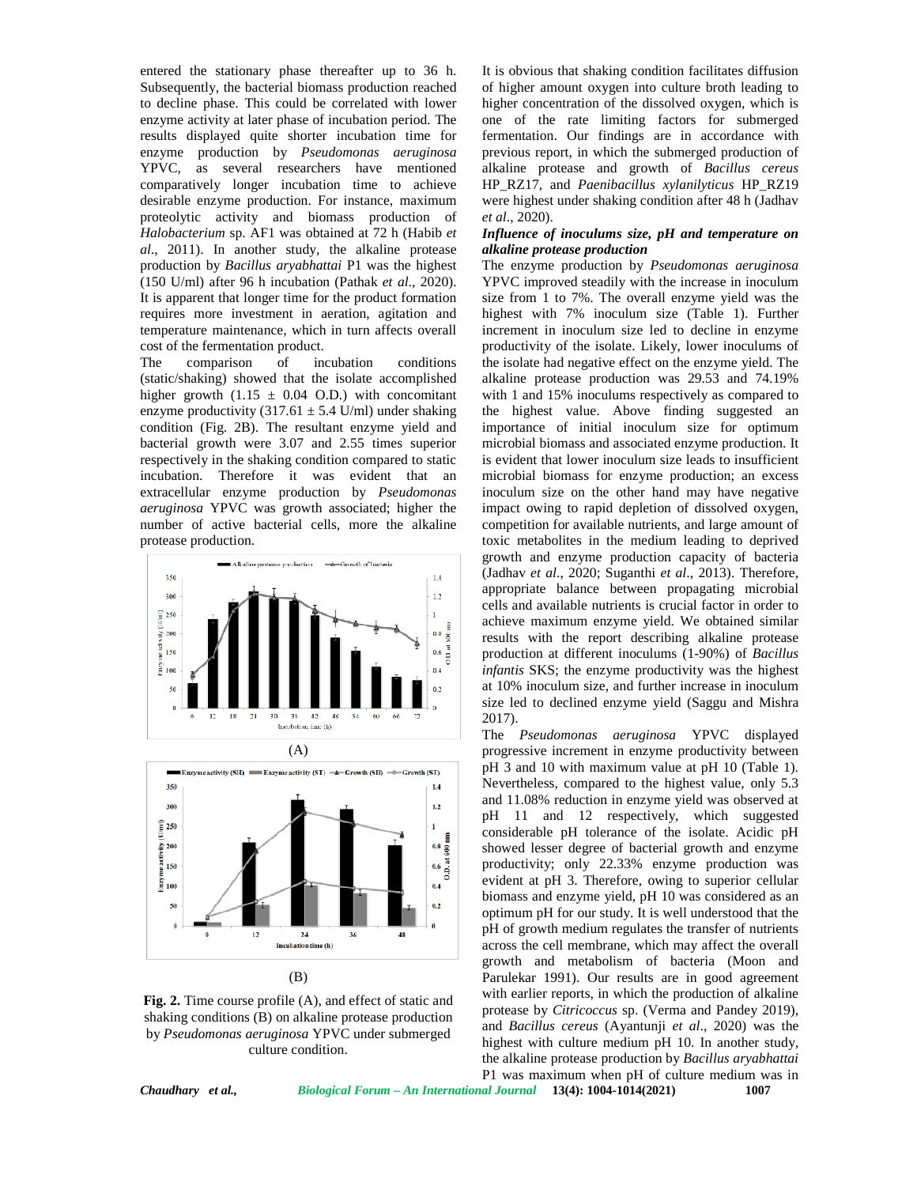entered the stationary phase thereafter up to 36 h. Subsequently, the bacterial biomass production reached to decline phase. This could be correlated with lower enzyme activity at later phase of incubation period. The results displayed quite shorter incubation time for enzyme production by *Pseudomonas aeruginosa* YPVC, as several researchers have mentioned comparatively longer incubation time to achieve desirable enzyme production. For instance, maximum proteolytic activity and biomass production of *Halobacterium* sp. AF1 was obtained at 72 h (Habib *et al*., 2011). In another study, the alkaline protease production by *Bacillus aryabhattai* P1 was the highest (150 U/ml) after 96 h incubation (Pathak *et al*., 2020). It is apparent that longer time for the product formation requires more investment in aeration, agitation and temperature maintenance, which in turn affects overall cost of the fermentation product.

The comparison of incubation conditions (static/shaking) showed that the isolate accomplished higher growth  $(1.15 \pm 0.04 \text{ O.D.})$  with concomitant enzyme productivity  $(317.61 \pm 5.4 \text{ U/ml})$  under shaking condition (Fig. 2B). The resultant enzyme yield and bacterial growth were 3.07 and 2.55 times superior respectively in the shaking condition compared to static incubation. Therefore it was evident that an extracellular enzyme production by *Pseudomonas aeruginosa* YPVC was growth associated; higher the number of active bacterial cells, more the alkaline protease production.





**Fig. 2.** Time course profile (A), and effect of static and shaking conditions (B) on alkaline protease production by *Pseudomonas aeruginosa* YPVC under submerged culture condition.

It is obvious that shaking condition facilitates diffusion of higher amount oxygen into culture broth leading to higher concentration of the dissolved oxygen, which is one of the rate limiting factors for submerged fermentation. Our findings are in accordance with previous report, in which the submerged production of alkaline protease and growth of *Bacillus cereus* HP\_RZ17, and *Paenibacillus xylanilyticus* HP\_RZ19 were highest under shaking condition after 48 h (Jadhav *et al*., 2020).

#### *Influence of inoculums size, pH and temperature on alkaline protease production*

The enzyme production by *Pseudomonas aeruginosa* YPVC improved steadily with the increase in inoculum size from 1 to 7%. The overall enzyme yield was the highest with 7% inoculum size (Table 1). Further increment in inoculum size led to decline in enzyme productivity of the isolate. Likely, lower inoculums of the isolate had negative effect on the enzyme yield. The alkaline protease production was 29.53 and 74.19% with 1 and 15% inoculums respectively as compared to the highest value. Above finding suggested an importance of initial inoculum size for optimum microbial biomass and associated enzyme production. It is evident that lower inoculum size leads to insufficient microbial biomass for enzyme production; an excess inoculum size on the other hand may have negative impact owing to rapid depletion of dissolved oxygen, competition for available nutrients, and large amount of toxic metabolites in the medium leading to deprived growth and enzyme production capacity of bacteria (Jadhav *et al*., 2020; Suganthi *et al*., 2013). Therefore, appropriate balance between propagating microbial cells and available nutrients is crucial factor in order to achieve maximum enzyme yield. We obtained similar results with the report describing alkaline protease production at different inoculums (1-90%) of *Bacillus infantis* SKS; the enzyme productivity was the highest at 10% inoculum size, and further increase in inoculum size led to declined enzyme yield (Saggu and Mishra 2017).

The *Pseudomonas aeruginosa* YPVC displayed progressive increment in enzyme productivity between pH 3 and 10 with maximum value at pH 10 (Table 1). Nevertheless, compared to the highest value, only 5.3 and 11.08% reduction in enzyme yield was observed at pH 11 and 12 respectively, which suggested considerable pH tolerance of the isolate. Acidic pH showed lesser degree of bacterial growth and enzyme productivity; only 22.33% enzyme production was evident at pH 3. Therefore, owing to superior cellular biomass and enzyme yield, pH 10 was considered as an optimum pH for our study. It is well understood that the pH of growth medium regulates the transfer of nutrients across the cell membrane, which may affect the overall growth and metabolism of bacteria (Moon and Parulekar 1991). Our results are in good agreement with earlier reports, in which the production of alkaline protease by *Citricoccus* sp. (Verma and Pandey 2019), and *Bacillus cereus* (Ayantunji *et al*., 2020) was the highest with culture medium pH 10. In another study, the alkaline protease production by *Bacillus aryabhattai* P1 was maximum when pH of culture medium was in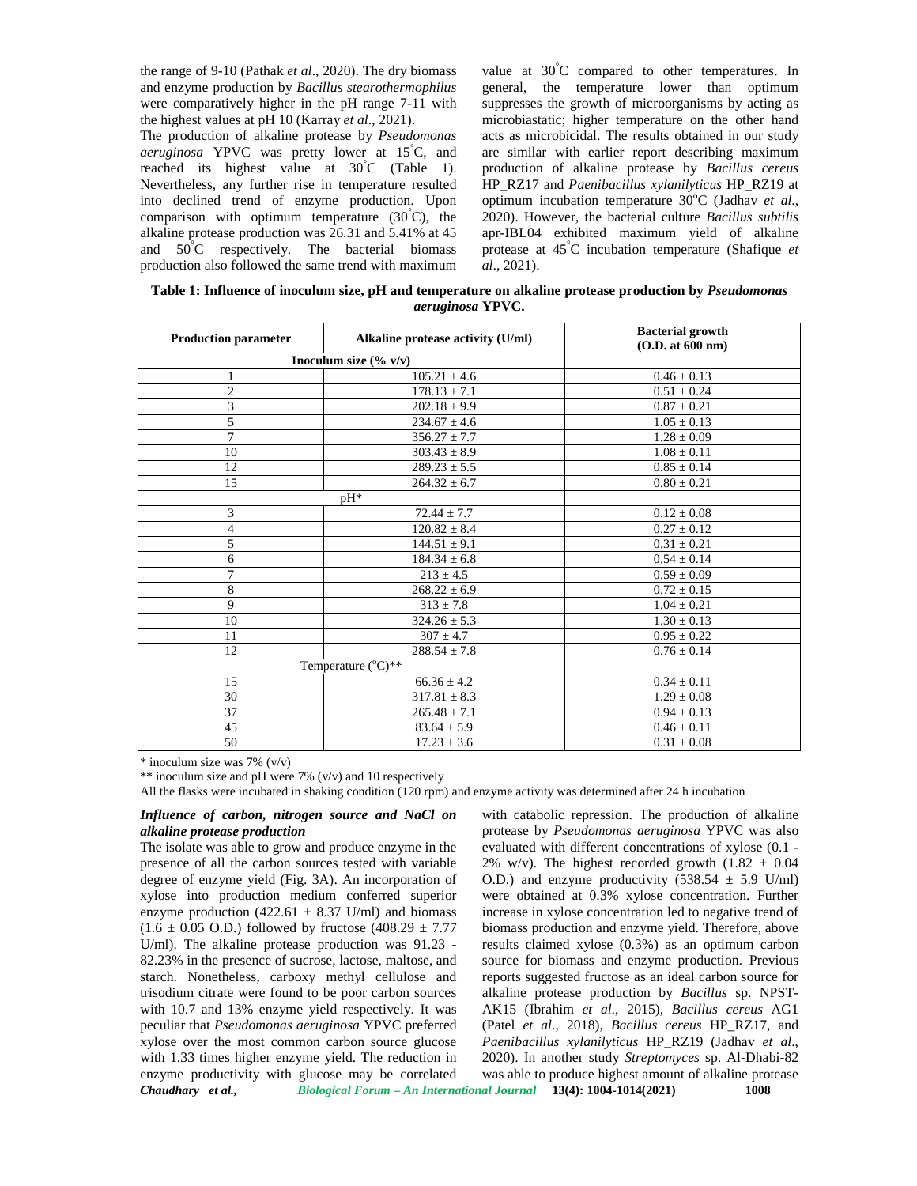the range of 9-10 (Pathak *et al*., 2020). The dry biomass and enzyme production by *Bacillus stearothermophilus* were comparatively higher in the pH range 7-11 with the highest values at pH 10 (Karray *et al*., 2021).

The production of alkaline protease by *Pseudomonas aeruginosa* YPVC was pretty lower at 15°C, and reached its highest value at  $30^{\circ}$ C (Table 1). Nevertheless, any further rise in temperature resulted into declined trend of enzyme production. Upon comparison with optimum temperature  $(30^{\circ}C)$ , the alkaline protease production was 26.31 and 5.41% at 45 and 50°C respectively. The bacterial biomass production also followed the same trend with maximum

value at  $30^{\circ}$ C compared to other temperatures. In general, the temperature lower than optimum suppresses the growth of microorganisms by acting as microbiastatic; higher temperature on the other hand acts as microbicidal. The results obtained in our study are similar with earlier report describing maximum production of alkaline protease by *Bacillus cereus* HP\_RZ17 and *Paenibacillus xylanilyticus* HP\_RZ19 at optimum incubation temperature 30<sup>o</sup>C (Jadhav *et al.*, 2020). However, the bacterial culture *Bacillus subtilis* apr-IBL04 exhibited maximum yield of alkaline protease at 45°C incubation temperature (Shafique *et al*., 2021).

**Table 1: Influence of inoculum size, pH and temperature on alkaline protease production by** *Pseudomonas aeruginosa* **YPVC.**

| <b>Production parameter</b> | Alkaline protease activity (U/ml) | <b>Bacterial growth</b><br>(O.D. at 600 nm) |  |
|-----------------------------|-----------------------------------|---------------------------------------------|--|
|                             | Inoculum size $(\% \text{ v/v})$  |                                             |  |
| $\mathbf{1}$                | $105.21 \pm 4.6$                  | $0.46 \pm 0.13$                             |  |
| $\overline{c}$              | $178.13 \pm 7.1$                  | $0.51 \pm 0.24$                             |  |
| 3                           | $202.18 \pm 9.9$                  | $0.87 \pm 0.21$                             |  |
| 5                           | $234.67 \pm 4.6$                  | $1.05 \pm 0.13$                             |  |
| 7                           | $356.27 \pm 7.7$                  | $1.28 \pm 0.09$                             |  |
| 10                          | $303.43 \pm 8.9$                  | $1.08 \pm 0.11$                             |  |
| 12                          | $289.23 \pm 5.5$                  | $0.85 \pm 0.14$                             |  |
| 15                          | $264.32 \pm 6.7$                  | $0.80 \pm 0.21$                             |  |
|                             | pH*                               |                                             |  |
| 3                           | $72.44 \pm 7.7$                   | $0.12 \pm 0.08$                             |  |
| 4                           | $120.82 \pm 8.4$                  | $0.27 \pm 0.12$                             |  |
| 5                           | $144.51 \pm 9.1$                  | $0.31 \pm 0.21$                             |  |
| 6                           | $184.34 \pm 6.8$                  | $0.54 \pm 0.14$                             |  |
| 7                           | $213 \pm 4.5$                     | $0.59 \pm 0.09$                             |  |
| 8                           | $268.22 \pm 6.9$                  | $0.72 \pm 0.15$                             |  |
| 9                           | $313 \pm 7.8$                     | $1.04 \pm 0.21$                             |  |
| 10                          | $324.26 \pm 5.3$                  | $1.30 \pm 0.13$                             |  |
| 11                          | $307 \pm 4.7$                     | $0.95 \pm 0.22$                             |  |
| 12                          | $288.54 \pm 7.8$                  | $0.76 \pm 0.14$                             |  |
|                             | Temperature $({}^{\circ}C)^{**}$  |                                             |  |
| 15                          | $66.36 \pm 4.2$                   | $0.34 \pm 0.11$                             |  |
| 30                          | $317.81 \pm 8.3$                  | $1.29 \pm 0.08$                             |  |
| 37                          | $265.48 \pm 7.1$                  | $0.94 \pm 0.13$                             |  |
| 45                          | $83.64 \pm 5.9$                   |                                             |  |
| 50                          | $17.23 \pm 3.6$                   | $0.31 \pm 0.08$                             |  |

\* inoculum size was 7% (v/v)

\*\* inoculum size and pH were 7% (v/v) and 10 respectively

All the flasks were incubated in shaking condition (120 rpm) and enzyme activity was determined after 24 h incubation

### *Influence of carbon, nitrogen source and NaCl on alkaline protease production*

*Chaudhary et al., Biological Forum – An International Journal* **13(4): 1004-1014(2021) 1008** The isolate was able to grow and produce enzyme in the presence of all the carbon sources tested with variable degree of enzyme yield (Fig. 3A). An incorporation of xylose into production medium conferred superior enzyme production (422.61  $\pm$  8.37 U/ml) and biomass  $(1.6 \pm 0.05 \text{ O.D.})$  followed by fructose  $(408.29 \pm 7.77$ U/ml). The alkaline protease production was 91.23 - 82.23% in the presence of sucrose, lactose, maltose, and starch. Nonetheless, carboxy methyl cellulose and trisodium citrate were found to be poor carbon sources with 10.7 and 13% enzyme yield respectively. It was peculiar that *Pseudomonas aeruginosa* YPVC preferred xylose over the most common carbon source glucose with 1.33 times higher enzyme yield. The reduction in enzyme productivity with glucose may be correlated

with catabolic repression. The production of alkaline protease by *Pseudomonas aeruginosa* YPVC was also evaluated with different concentrations of xylose (0.1 - 2% w/v). The highest recorded growth  $(1.82 \pm 0.04)$ O.D.) and enzyme productivity  $(538.54 \pm 5.9 \text{ U/ml})$ were obtained at 0.3% xylose concentration. Further increase in xylose concentration led to negative trend of biomass production and enzyme yield. Therefore, above results claimed xylose (0.3%) as an optimum carbon source for biomass and enzyme production. Previous reports suggested fructose as an ideal carbon source for alkaline protease production by *Bacillus* sp. NPST- AK15 (Ibrahim *et al*., 2015), *Bacillus cereus* AG1 (Patel *et al*., 2018), *Bacillus cereus* HP\_RZ17, and *Paenibacillus xylanilyticus* HP\_RZ19 (Jadhav *et al*., 2020). In another study *Streptomyces* sp. Al-Dhabi-82 was able to produce highest amount of alkaline protease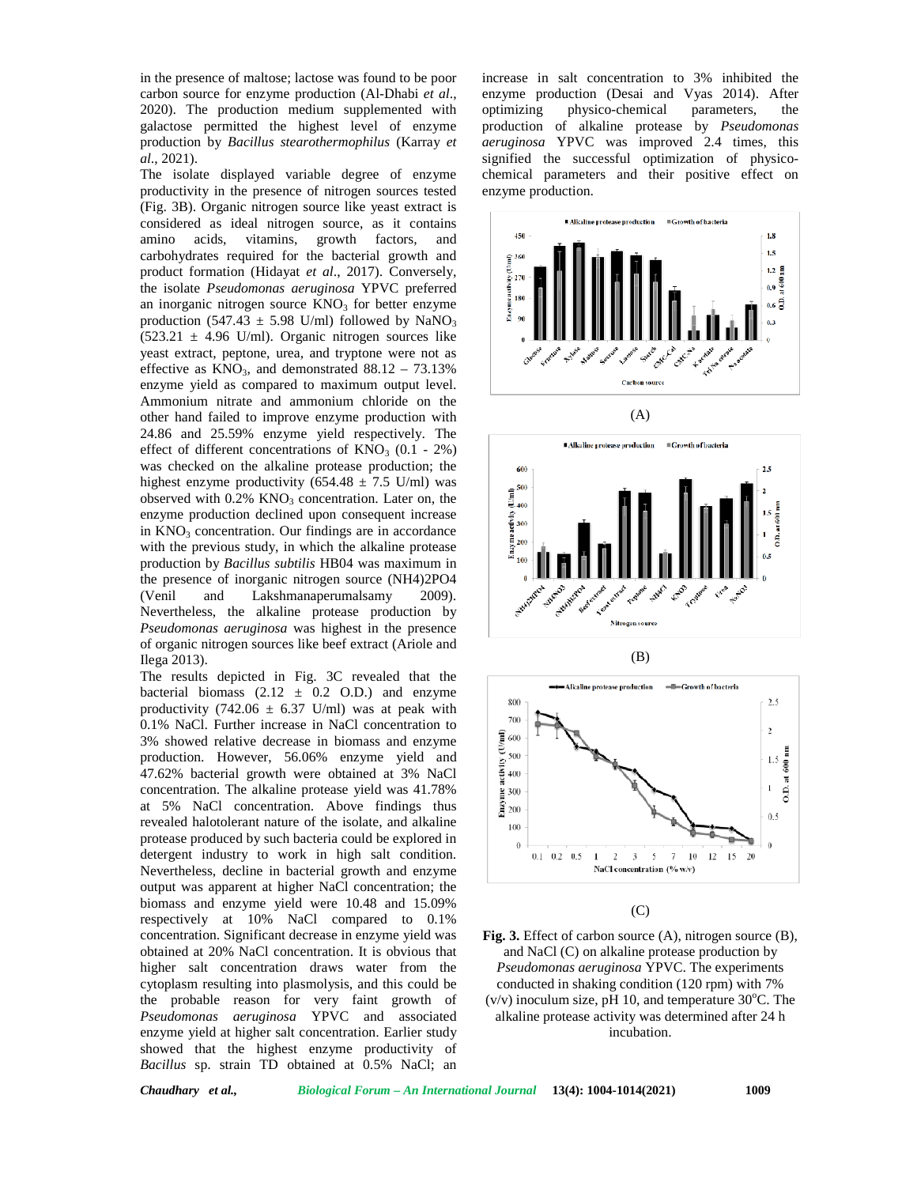in the presence of maltose; lactose was found to be poor carbon source for enzyme production (Al-Dhabi *et al*., 2020). The production medium supplemented with optimizing galactose permitted the highest level of enzyme production by *Bacillus stearothermophilus* (Karray *et al*., 2021).

The isolate displayed variable degree of enzyme productivity in the presence of nitrogen sources tested (Fig. 3B). Organic nitrogen source like yeast extract is considered as ideal nitrogen source, as it contains amino acids, vitamins, growth factors, and carbohydrates required for the bacterial growth and product formation (Hidayat *et al*., 2017). Conversely, the isolate *Pseudomonas aeruginosa* YPVC preferred an inorganic nitrogen source  $KNO<sub>3</sub>$  for better enzyme production (547.43  $\pm$  5.98 U/ml) followed by NaNO<sub>3</sub>  $(523.21 \pm 4.96 \text{ U/ml})$ . Organic nitrogen sources like yeast extract, peptone, urea, and tryptone were not as effective as  $KNO_3$ , and demonstrated  $88.12 - 73.13\%$ enzyme yield as compared to maximum output level. Ammonium nitrate and ammonium chloride on the other hand failed to improve enzyme production with 24.86 and 25.59% enzyme yield respectively. The effect of different concentrations of  $KNO<sub>3</sub>$  (0.1 - 2%) was checked on the alkaline protease production; the highest enzyme productivity (654.48  $\pm$  7.5 U/ml) was observed with  $0.2\%$  KNO<sub>3</sub> concentration. Later on, the enzyme production declined upon consequent increase in  $KNO<sub>3</sub>$  concentration. Our findings are in accordance with the previous study, in which the alkaline protease production by *Bacillus subtilis* HB04 was maximum in the presence of inorganic nitrogen source (NH4)2PO4 (Venil and Lakshmanaperumalsamy 2009). Nevertheless, the alkaline protease production by *Pseudomonas aeruginosa* was highest in the presence of organic nitrogen sources like beef extract (Ariole and Ilega 2013).

The results depicted in Fig. 3C revealed that the bacterial biomass (2.12  $\pm$  0.2 O.D.) and enzyme productivity  $(742.06 \pm 6.37 \text{ U/ml})$  was at peak with  $0.1\%$  NoCl. Euriban increases in NoCl concentration to 0.1% NaCl. Further increase in NaCl concentration to 3% showed relative decrease in biomass and enzyme production. However, 56.06% enzyme yield and 47.62% bacterial growth were obtained at 3% NaCl  $\frac{1}{8}$   $\frac{1}{4}$   $\frac{$ 3% showed relative decrease in biomass and enzyme production. However, 56.06% enzyme yield and 47.62% bacterial growth were obtained at 3% NaCl concentration. The alkaline protease yield was 41.78% at 5% NaCl concentration. Above findings thus revealed halotolerant nature of the isolate, and alkaline protease produced by such bacteria could be explored in detergent industry to work in high salt condition. Nevertheless, decline in bacterial growth and enzyme output was apparent at higher NaCl concentration; the biomass and enzyme yield were 10.48 and 15.09% respectively at 10% NaCl compared to 0.1% concentration. Significant decrease in enzyme yield was obtained at 20% NaCl concentration. It is obvious that higher salt concentration draws water from the cytoplasm resulting into plasmolysis, and this could be the probable reason for very faint growth of *Pseudomonas aeruginosa* YPVC and associated enzyme yield at higher salt concentration. Earlier study showed that the highest enzyme productivity of *Bacillus* sp. strain TD obtained at 0.5% NaCl; an

increase in salt concentration to 3% inhibited the enzyme production (Desai and Vyas 2014). After physico-chemical parameters, the production of alkaline protease by *Pseudomonas aeruginosa* YPVC was improved 2.4 times, this signified the successful optimization of physico chemical parameters and their positive effect on enzyme production.







(C)

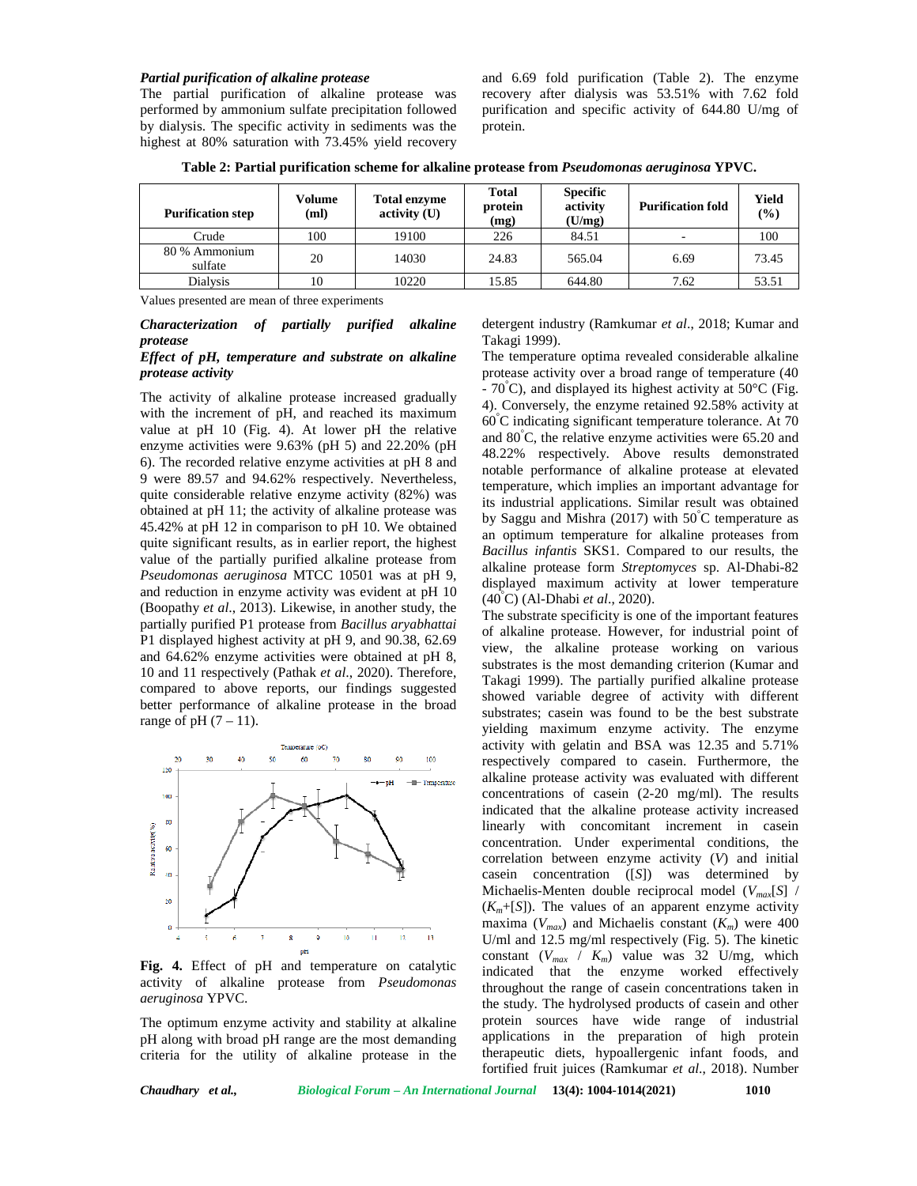#### *Partial purification of alkaline protease*

The partial purification of alkaline protease was performed by ammonium sulfate precipitation followed by dialysis. The specific activity in sediments was the highest at 80% saturation with 73.45% yield recovery

and 6.69 fold purification (Table 2). The enzyme recovery after dialysis was 53.51% with 7.62 fold purification and specific activity of 644.80 U/mg of protein.

**Table 2: Partial purification scheme for alkaline protease from** *Pseudomonas aeruginosa* **YPVC.**

| <b>Purification step</b> | Volume<br>(ml) | <b>Total enzyme</b><br>$\text{activity (U)}$ | <b>Total</b><br>protein<br>(mg) | <b>Specific</b><br>activity<br>(U/mg) | <b>Purification fold</b> | Yield<br>$(\%)$ |
|--------------------------|----------------|----------------------------------------------|---------------------------------|---------------------------------------|--------------------------|-----------------|
| Crude                    | 100            | 19100                                        | 226                             | 84.51                                 |                          | 100             |
| 80 % Ammonium<br>sulfate | 20             | 14030                                        | 24.83                           | 565.04                                | 6.69                     | 73.45           |
| <b>Dialysis</b>          | 10             | 10220                                        | 15.85                           | 644.80                                | 7.62                     | 53.51           |

Values presented are mean of three experiments

*Characterization of partially purified alkaline protease*

### *Effect of pH, temperature and substrate on alkaline protease activity*

The activity of alkaline protease increased gradually with the increment of pH, and reached its maximum value at pH 10 (Fig. 4). At lower pH the relative enzyme activities were 9.63% (pH 5) and 22.20% (pH 6). The recorded relative enzyme activities at pH 8 and 9 were 89.57 and 94.62% respectively. Nevertheless, quite considerable relative enzyme activity (82%) was obtained at pH 11; the activity of alkaline protease was 45.42% at pH 12 in comparison to pH 10. We obtained quite significant results, as in earlier report, the highest value of the partially purified alkaline protease from *Pseudomonas aeruginosa* MTCC 10501 was at pH 9, and reduction in enzyme activity was evident at pH 10 (Boopathy *et al*., 2013). Likewise, in another study, the partially purified P1 protease from *Bacillus aryabhattai* P1 displayed highest activity at pH 9, and 90.38, 62.69 and 64.62% enzyme activities were obtained at pH 8, 10 and 11 respectively (Pathak *et al*., 2020). Therefore, compared to above reports, our findings suggested better performance of alkaline protease in the broad range of pH $(7-11)$ .



**Fig. 4.** Effect of pH and temperature on catalytic activity of alkaline protease from *Pseudomonas aeruginosa* YPVC.

The optimum enzyme activity and stability at alkaline pH along with broad pH range are the most demanding criteria for the utility of alkaline protease in the

detergent industry (Ramkumar *et al*., 2018; Kumar and Takagi 1999).

The temperature optima revealed considerable alkaline protease activity over a broad range of temperature (40  $-70^{\circ}$ C), and displayed its highest activity at 50 $^{\circ}$ C (Fig. 4). Conversely, the enzyme retained 92.58% activity at  $60^{\circ}$ C indicating significant temperature tolerance. At 70 and  $80^{\circ}$ C, the relative enzyme activities were 65.20 and 48.22% respectively. Above results demonstrated notable performance of alkaline protease at elevated temperature, which implies an important advantage for its industrial applications. Similar result was obtained by Saggu and Mishra (2017) with  $50^{\circ}$ C temperature as an optimum temperature for alkaline proteases from *Bacillus infantis* SKS1. Compared to our results, the alkaline protease form *Streptomyces* sp. Al-Dhabi-82 displayed maximum activity at lower temperature (40°C) (Al-Dhabi *et al*., 2020).

The substrate specificity is one of the important features of alkaline protease. However, for industrial point of view, the alkaline protease working on various substrates is the most demanding criterion (Kumar and Takagi 1999). The partially purified alkaline protease showed variable degree of activity with different substrates; casein was found to be the best substrate yielding maximum enzyme activity. The enzyme activity with gelatin and BSA was 12.35 and 5.71% respectively compared to casein. Furthermore, the alkaline protease activity was evaluated with different concentrations of casein (2-20 mg/ml). The results indicated that the alkaline protease activity increased linearly with concomitant increment in casein concentration. Under experimental conditions, the correlation between enzyme activity (*V*) and initial casein concentration ([*S*]) was determined by Michaelis-Menten double reciprocal model (*Vmax*[*S*] /  $(K_m + [S])$ . The values of an apparent enzyme activity maxima ( $V_{max}$ ) and Michaelis constant ( $K_m$ ) were 400 U/ml and 12.5 mg/ml respectively (Fig. 5). The kinetic constant  $(V_{max} / K_m)$  value was 32 U/mg, which indicated that the enzyme worked effectively throughout the range of casein concentrations taken in the study. The hydrolysed products of casein and other protein sources have wide range of industrial applications in the preparation of high protein therapeutic diets, hypoallergenic infant foods, and fortified fruit juices (Ramkumar *et al*., 2018). Number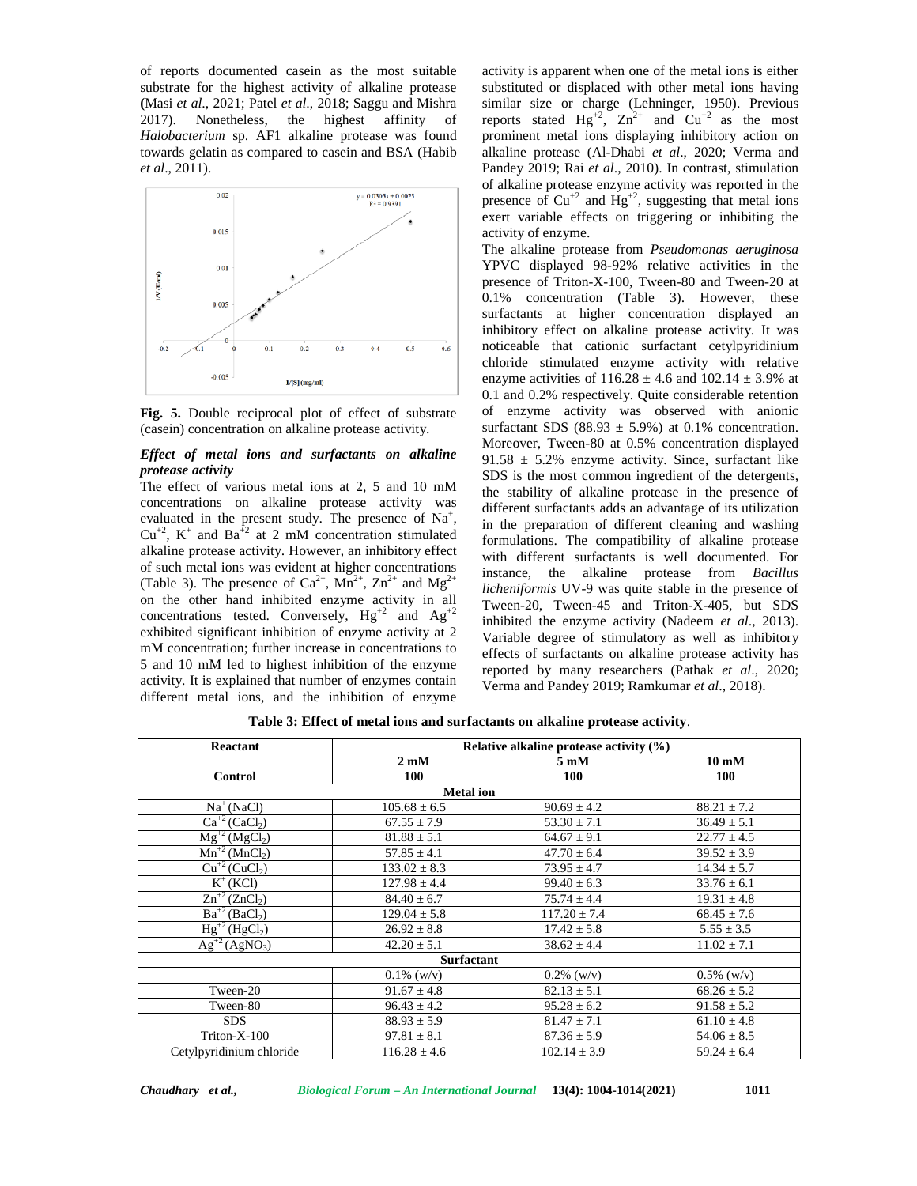of reports documented casein as the most suitable substrate for the highest activity of alkaline protease **(**Masi *et al*., 2021; Patel *et al*., 2018; Saggu and Mishra 2017). Nonetheless, the highest affinity of *Halobacterium* sp. AF1 alkaline protease was found towards gelatin as compared to casein and BSA (Habib *et al*., 2011).



**Fig. 5.** Double reciprocal plot of effect of substrate (casein) concentration on alkaline protease activity.

### *Effect of metal ions and surfactants on alkaline protease activity*

The effect of various metal ions at 2, 5 and 10 mM concentrations on alkaline protease activity was evaluated in the present study. The presence of  $\text{Na}^+$ ,  $\frac{\text{u}}{\text{in}}$  $Cu^{+2}$ , K<sup>+</sup> and Ba<sup>+2</sup> at 2 mM concentration stimulated alkaline protease activity. However, an inhibitory effect of such metal ions was evident at higher concentrations (Table 3). The presence of  $Ca^{2+}$ ,  $Mn^{2+}$ ,  $Zn^{2+}$  and  $Mg^{2+}$ on the other hand inhibited enzyme activity in all concentrations tested. Conversely,  $Hg^{+2}$  and  $Ag^{+2}$ exhibited significant inhibition of enzyme activity at 2 mM concentration; further increase in concentrations to 5 and 10 mM led to highest inhibition of the enzyme activity. It is explained that number of enzymes contain different metal ions, and the inhibition of enzyme

activity is apparent when one of the metal ions is either substituted or displaced with other metal ions having similar size or charge (Lehninger, 1950). Previous reports stated  $Hg^{+2}$ ,  $Zn^{2+}$  and  $Cu^{+2}$  as the most prominent metal ions displaying inhibitory action on alkaline protease (Al-Dhabi *et al*., 2020; Verma and Pandey 2019; Rai *et al*., 2010). In contrast, stimulation of alkaline protease enzyme activity was reported in the presence of  $Cu^{2}$  and  $Hg^{2}$ , suggesting that metal ions exert variable effects on triggering or inhibiting the activity of enzyme.

The alkaline protease from *Pseudomonas aeruginosa* YPVC displayed 98-92% relative activities in the presence of Triton-X-100, Tween-80 and Tween-20 at 0.1% concentration (Table 3). However, these surfactants at higher concentration displayed an inhibitory effect on alkaline protease activity. It was noticeable that cationic surfactant cetylpyridinium chloride stimulated enzyme activity with relative enzyme activities of  $116.28 \pm 4.6$  and  $102.14 \pm 3.9$ % at 0.1 and 0.2% respectively. Quite considerable retention of enzyme activity was observed with anionic surfactant SDS (88.93  $\pm$  5.9%) at 0.1% concentration. Moreover, Tween-80 at 0.5% concentration displayed 91.58  $\pm$  5.2% enzyme activity. Since, surfactant like SDS is the most common ingredient of the detergents, the stability of alkaline protease in the presence of different surfactants adds an advantage of its utilization in the preparation of different cleaning and washing formulations. The compatibility of alkaline protease with different surfactants is well documented. For instance, the alkaline protease from *Bacillus licheniformis* UV-9 was quite stable in the presence of Tween-20, Tween-45 and Triton-X-405, but SDS inhibited the enzyme activity (Nadeem *et al*., 2013). Variable degree of stimulatory as well as inhibitory effects of surfactants on alkaline protease activity has reported by many researchers (Pathak *et al*., 2020; Verma and Pandey 2019; Ramkumar *et al*., 2018).

| Reactant                                         | Relative alkaline protease activity (%) |                         |                          |  |  |
|--------------------------------------------------|-----------------------------------------|-------------------------|--------------------------|--|--|
|                                                  | $2 \text{ }\mathrm{mM}$                 | $5 \text{ }\mathrm{mM}$ | $10 \text{ }\mathrm{mM}$ |  |  |
| <b>Control</b>                                   | 100                                     | 100                     | 100                      |  |  |
|                                                  | <b>Metal</b> ion                        |                         |                          |  |  |
| $Na+ (NaCl)$                                     | $105.68 \pm 6.5$                        | $90.69 \pm 4.2$         | $88.21 \pm 7.2$          |  |  |
| $\overline{Ca}^{+2}$ (CaCl <sub>2</sub> )        | $67.55 \pm 7.9$                         | $53.30 \pm 7.1$         | $36.49 \pm 5.1$          |  |  |
| $Mg^{+2} (MgCl_2)$                               | $81.88 \pm 5.1$                         | $64.67 \pm 9.1$         | $22.77 \pm 4.5$          |  |  |
| $Mn^{+2} (MnCl2)$                                | $57.85 \pm 4.1$                         | $47.70 \pm 6.4$         | $39.52 \pm 3.9$          |  |  |
| $\overline{\text{Cu}}^{+2}$ (CuCl <sub>2</sub> ) | $133.02 \pm 8.3$                        | $73.95 \pm 4.7$         | $14.34 \pm 5.7$          |  |  |
| $K^+(KCI)$                                       | $127.98 \pm 4.4$                        | $99.40 \pm 6.3$         | $33.76 \pm 6.1$          |  |  |
| $\overline{\text{Zn}^{+2}}$ (ZnCl <sub>2</sub> ) | $84.40 \pm 6.7$                         | $75.74 \pm 4.4$         | $19.31 \pm 4.8$          |  |  |
| $Ba^{+2}(BaCl2)$                                 | $129.04 \pm 5.8$                        | $117.20 \pm 7.4$        | $68.45 \pm 7.6$          |  |  |
| $Hg^{+2}(HgCl_2)$                                | $26.92 \pm 8.8$                         | $17.42 \pm 5.8$         | $5.55 \pm 3.5$           |  |  |
| $Ag^{+2}(AgNO_3)$                                | $42.20 \pm 5.1$                         | $38.62 \pm 4.4$         | $11.02 \pm 7.1$          |  |  |
|                                                  | <b>Surfactant</b>                       |                         |                          |  |  |
|                                                  | $0.1\%$ (w/v)                           | $0.2\%$ (w/y)           | $0.5\%$ (w/v)            |  |  |
| Tween-20                                         | $91.67 \pm 4.8$                         | $82.13 \pm 5.1$         | $68.26 \pm 5.2$          |  |  |
| Tween-80                                         | $96.43 \pm 4.2$                         | $95.28 \pm 6.2$         | $91.58 \pm 5.2$          |  |  |
| <b>SDS</b>                                       | $88.93 \pm 5.9$                         | $81.47 \pm 7.1$         | $61.10 \pm 4.8$          |  |  |
| $Triton-X-100$                                   | $97.81 \pm 8.1$                         | $87.36 \pm 5.9$         | $54.06 \pm 8.5$          |  |  |
| Cetylpyridinium chloride                         | $116.28 \pm 4.6$                        | $102.14 \pm 3.9$        | $59.24 \pm 6.4$          |  |  |

**Table 3: Effect of metal ions and surfactants on alkaline protease activity**.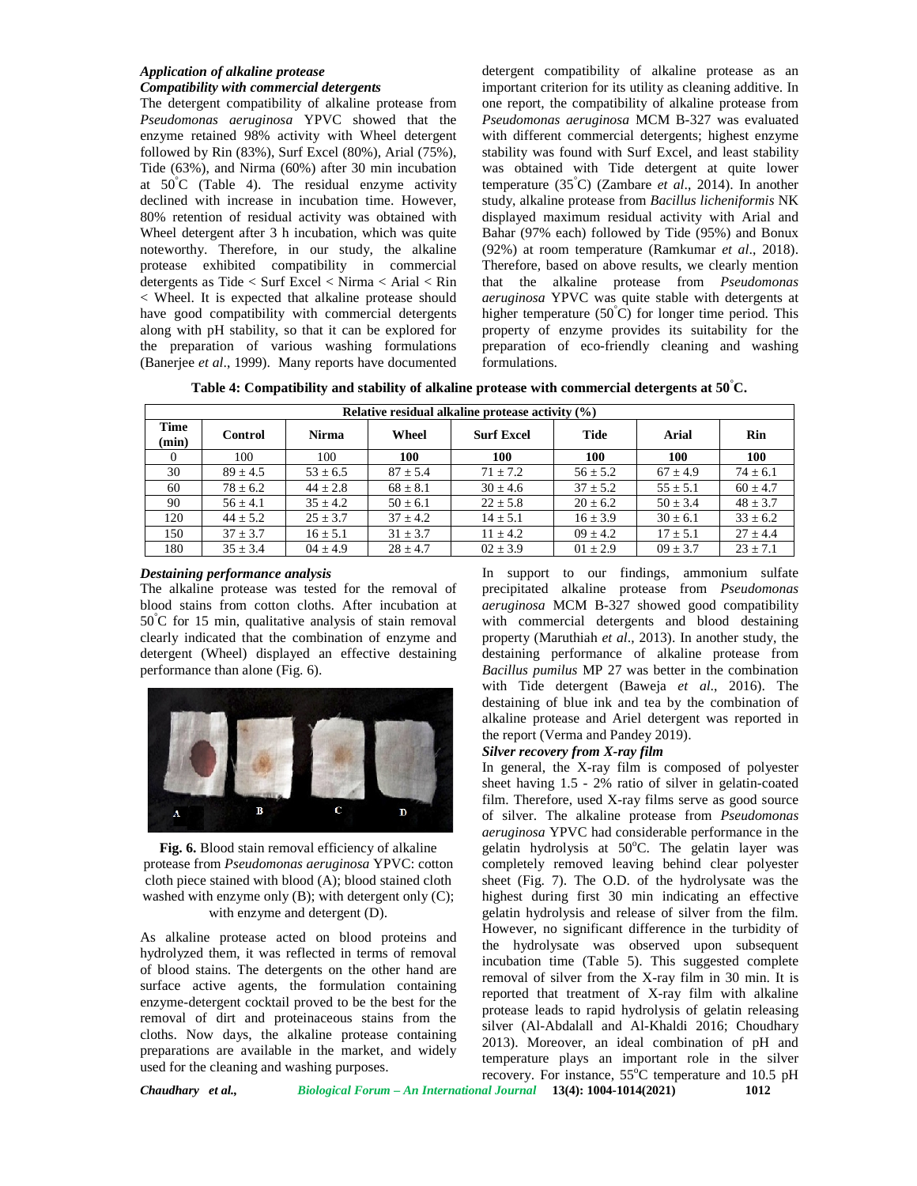# *Application of alkaline protease Compatibility with commercial detergents*

The detergent compatibility of alkaline protease from *Pseudomonas aeruginosa* YPVC showed that the enzyme retained 98% activity with Wheel detergent followed by Rin (83%), Surf Excel (80%), Arial (75%), Tide (63%), and Nirma (60%) after 30 min incubation at  $50^{\circ}$ C (Table 4). The residual enzyme activity declined with increase in incubation time. However, 80% retention of residual activity was obtained with Wheel detergent after 3 h incubation, which was quite noteworthy. Therefore, in our study, the alkaline protease exhibited compatibility in commercial detergents as Tide < Surf Excel < Nirma < Arial < Rin < Wheel. It is expected that alkaline protease should have good compatibility with commercial detergents along with pH stability, so that it can be explored for the preparation of various washing formulations (Banerjee *et al*., 1999). Many reports have documented

detergent compatibility of alkaline protease as an important criterion for its utility as cleaning additive. In one report, the compatibility of alkaline protease from *Pseudomonas aeruginosa* MCM B-327 was evaluated with different commercial detergents; highest enzyme stability was found with Surf Excel, and least stability was obtained with Tide detergent at quite lower temperature (35°C) (Zambare *et al*., 2014). In another study, alkaline protease from *Bacillus licheniformis* NK displayed maximum residual activity with Arial and Bahar (97% each) followed by Tide (95%) and Bonux (92%) at room temperature (Ramkumar *et al*., 2018). Therefore, based on above results, we clearly mention that the alkaline protease from *Pseudomonas aeruginosa* YPVC was quite stable with detergents at higher temperature  $(50^{\circ}C)$  for longer time period. This property of enzyme provides its suitability for the preparation of eco-friendly cleaning and washing formulations.

**Table 4: Compatibility and stability of alkaline protease with commercial detergents at 50°C.**

| Relative residual alkaline protease activity (%) |                |              |              |                   |              |              |              |
|--------------------------------------------------|----------------|--------------|--------------|-------------------|--------------|--------------|--------------|
| Time<br>(min)                                    | <b>Control</b> | <b>Nirma</b> | Wheel        | <b>Surf Excel</b> | Tide         | Arial        | Rin          |
| $\theta$                                         | 100            | 100          | 100          | 100               | 100          | 100          | <b>100</b>   |
| 30                                               | $89 + 4.5$     | $53 \pm 6.5$ | $87 \pm 5.4$ | $71 \pm 7.2$      | $56 \pm 5.2$ | $67 \pm 4.9$ | $74 \pm 6.1$ |
| 60                                               | $78 \pm 6.2$   | $44 \pm 2.8$ | $68 \pm 8.1$ | $30 \pm 4.6$      | $37 \pm 5.2$ | $55 \pm 5.1$ | $60 \pm 4.7$ |
| 90                                               | $56 + 4.1$     | $35 + 4.2$   | $50 \pm 6.1$ | $22 \pm 5.8$      | $20 \pm 6.2$ | $50 \pm 3.4$ | $48 \pm 3.7$ |
| 120                                              | $44 \pm 5.2$   | $25 \pm 3.7$ | $37 \pm 4.2$ | $14 \pm 5.1$      | $16 \pm 3.9$ | $30 \pm 6.1$ | $33 \pm 6.2$ |
| 150                                              | $37 \pm 3.7$   | $16 \pm 5.1$ | $31 \pm 3.7$ | $11 \pm 4.2$      | $09 \pm 4.2$ | $17 \pm 5.1$ | $27 \pm 4.4$ |
| 180                                              | $35 \pm 3.4$   | $04 \pm 4.9$ | $28 \pm 4.7$ | $02 \pm 3.9$      | $01 \pm 2.9$ | $09 \pm 3.7$ | $23 \pm 7.1$ |

# *Destaining performance analysis*

The alkaline protease was tested for the removal of blood stains from cotton cloths. After incubation at 50°C for 15 min, qualitative analysis of stain removal clearly indicated that the combination of enzyme and detergent (Wheel) displayed an effective destaining performance than alone (Fig. 6).



**Fig. 6.** Blood stain removal efficiency of alkaline protease from *Pseudomonas aeruginosa* YPVC: cotton cloth piece stained with blood (A); blood stained cloth washed with enzyme only (B); with detergent only (C); with enzyme and detergent (D).

As alkaline protease acted on blood proteins and hydrolyzed them, it was reflected in terms of removal of blood stains. The detergents on the other hand are surface active agents, the formulation containing enzyme-detergent cocktail proved to be the best for the removal of dirt and proteinaceous stains from the cloths. Now days, the alkaline protease containing preparations are available in the market, and widely used for the cleaning and washing purposes.

In support to our findings, ammonium sulfate precipitated alkaline protease from *Pseudomonas aeruginosa* MCM B-327 showed good compatibility with commercial detergents and blood destaining property (Maruthiah *et al*., 2013). In another study, the destaining performance of alkaline protease from *Bacillus pumilus* MP 27 was better in the combination with Tide detergent (Baweja *et al*., 2016). The destaining of blue ink and tea by the combination of alkaline protease and Ariel detergent was reported in the report (Verma and Pandey 2019).

### *Silver recovery from X-ray film*

In general, the X-ray film is composed of polyester sheet having 1.5 - 2% ratio of silver in gelatin-coated film. Therefore, used X-ray films serve as good source of silver. The alkaline protease from *Pseudomonas aeruginosa* YPVC had considerable performance in the gelatin hydrolysis at  $50^{\circ}$ C. The gelatin layer was completely removed leaving behind clear polyester sheet (Fig. 7). The O.D. of the hydrolysate was the highest during first 30 min indicating an effective gelatin hydrolysis and release of silver from the film. However, no significant difference in the turbidity of the hydrolysate was observed upon subsequent incubation time (Table 5). This suggested complete removal of silver from the X-ray film in 30 min. It is reported that treatment of X-ray film with alkaline protease leads to rapid hydrolysis of gelatin releasing silver (Al-Abdalall and Al-Khaldi 2016; Choudhary 2013). Moreover, an ideal combination of pH and temperature plays an important role in the silver recovery. For instance,  $55^{\circ}$ C temperature and  $10.5$  pH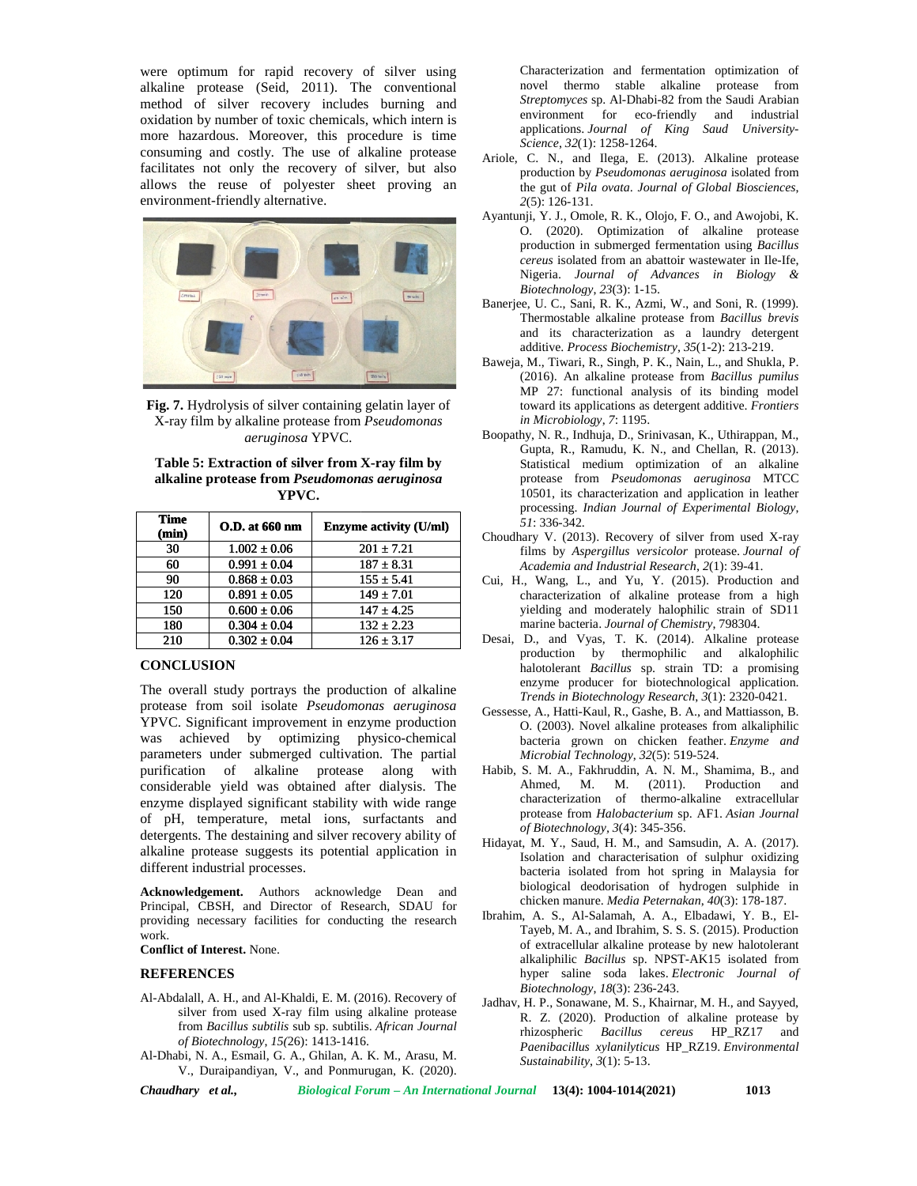were optimum for rapid recovery of silver using alkaline protease (Seid, 2011). The conventional method of silver recovery includes burning and oxidation by number of toxic chemicals, which intern is more hazardous. Moreover, this procedure is time consuming and costly. The use of alkaline protease facilitates not only the recovery of silver, but also allows the reuse of polyester sheet proving an environment-friendly alternative. n by number of toxic chemical<br>azardous. Moreover, this pro<br>ng and costly. The use of a<br>s not only the recovery of<br>the reuse of polyester sh



**Fig. 7.** Hydrolysis of silver containing gelatin layer of X-ray film by alkaline protease from *Pseudomonas aeruginosa* YPVC.

**Table 5: Extraction of silver from X-ray film by alkaline protease from** *Pseudomonas aeruginosa* **protease** *aeruginosa***YPVC.**

| <b>Time</b><br>(min) | <b>O.D.</b> at 660 nm | Enzyme activity (U/ml) |
|----------------------|-----------------------|------------------------|
| 30                   | $1.002 \pm 0.06$      | $201 + 7.21$           |
| 60                   | $0.991 \pm 0.04$      | $187 \pm 8.31$         |
| 90                   | $0.868 \pm 0.03$      | $155 \pm 5.41$         |
| 120                  | $0.891 \pm 0.05$      | $149 \pm 7.01$         |
| 150                  | $0.600 \pm 0.06$      | $147 + 4.25$           |
| 180                  | $0.304 \pm 0.04$      | $132 + 2.23$           |
| 210                  | $0.302 \pm 0.04$      | $126 + 3.17$           |

# **CONCLUSION**

The overall study portrays the production of alkaline protease from soil isolate *Pseudomonas aeruginosa* YPVC. Significant improvement in enzyme production was achieved by optimizing physico-chemical parameters under submerged cultivation. The partial purification of alkaline protease along with considerable yield was obtained after dialysis. The enzyme displayed significant stability with wide range of pH, temperature, metal ions, surfactants and considerable yield was obtained after dialysis. The enzyme displayed significant stability with wide range of pH, temperature, metal ions, surfactants and detergents. The destaining and silver recovery ability of  $_{\text{Li}}$ alkaline protease suggests its potential application in different industrial processes. silver recovery includes burning and sometimes and sometimes of the state and a set and sometimes and sometimes and state and state in the state of the state of the state of the state of the state of the state of the stat The overall study portrays the production<br>protease from soil isolate *Pseudomonas*<br>YPVC. Significant improvement in enzyme Experiment of the transfer of the strengthenium of the characterization of the strengthenium of the strengthenium of the strengthenium of the strengthenium of the strengthenium of the strengthenium of the strengthenium of was equivalent for rapid of since using the since the property of since the since  $\alpha$  and  $\alpha$  and  $\alpha$  and  $\alpha$  and  $\alpha$  and  $\alpha$  and  $\alpha$  and  $\alpha$  and  $\alpha$  and  $\alpha$  and  $\alpha$  and  $\alpha$  and  $\alpha$  and  $\alpha$  and  $\alpha$  and  $\alpha$ purification of alkaline protease along<br>considerable yield was obtained after dialysis.<br>enzyme displayed significant stability with wide r<br>of pH, temperature, metal ions, surfactants<br>detergents. The destaining and silver r **ESMoreover, this procedure is time applications, Journal of Northeast Proposition Constrained in the same of proposition of Northeast Proposition Constrained in the same of proposition of Northeast Proposition Constraine** 

**Acknowledgement.** Authors acknowledge Dean and Principal, CBSH, and Director of Research, SDAU for providing necessary facilities for conducting the research work.

#### **Conflict of Interest.** None. **Interest.**

### **REFERENCES**

- Al-Abdalall, A. H., and Al-Khaldi, E. M. (2016). Recovery of silver from used X-ray film using alkaline protease from *Bacillus subtilis* sub sp. subtilis. *African Journal subtilis*sub *of Biotechnology*, *15(*26): 1413-1416.
- Al-Dhabi, N. A., Esmail, G. A., Ghilan, A. K. M., Arasu, M. V., Duraipandiyan, V., and Ponmurugan, K. (2020).

Characterization and fermentation optimization of novel thermo stable alkaline protease from *Streptomyces* sp. Al-Dhabi-82 from the Saudi Arabian environment for eco-friendly and industrial applications. *Journal of King Saud University- Science*, *32*(1): 1258-1264.

- Ariole, C. N., and Ilega, E. (2013). Alkaline protease production by *Pseudomonas aeruginosa* isolated from the gut of *Pila ovata*. *Journal of Global Biosciences*, *2*(5): 126-131.
- Ayantunji, Y. J., Omole, R. K., Olojo, F. O., and Awojobi, K. O. (2020). Optimization of alkaline protease production in submerged fermentation using *Bacillus cereus* isolated from an abattoir wastewater in Ile-Ife, Nigeria. *Journal of Advances in Biology & Biotechnology*, *23*(3): 1-15. *a ovata. Journal of Global Biosciences,*<br>
Je, R. K., Olojo, F. O., and Awojobi, K.<br>
Optimization of alkaline protease<br>
submerged fermentation using *Bacillus*<br>
d from an abattoir wastewater in Ile-Ife,
- Biotechnology, 23(3): 1-15.<br>Banerjee, U. C., Sani, R. K., Azmi, W., and Soni, R. (1999). Thermostable alkaline protease from *Bacillus brevis brevis* and its characterization as a laundry detergent additive. *Process Biochemistry*, *35*(1-2): 213-219. *Biochemistry*
- Baweja, M., Tiwari, R., Singh, P. K., Nain, L., and Shukla, P. (2016). An alkaline protease from *Bacillus pumilus pumilus* MP 27: functional analysis of its binding model MP 27: functional analysis of its binding model<br>toward its applications as detergent additive. *Frontiers in Microbiology*, *7*: 1195.
- Boopathy, N. R., Indhuja, D., Srinivasan, K., Uthirappan, M., Gupta, R., Ramudu, K. N., and Chellan, R. (2013). hy, N. R., Indhuja, D., Srinivasan, K., Uthirappan, M.,<br>Gupta, R., Ramudu, K. N., and Chellan, R. (2013).<br>Statistical medium optimization of an alkaline protease from *Pseudomonas aeruginosa* MTCC *aeruginosa*10501, its characterization and application in leather processing. *Indian Journal of Experimental Biology*, *51*: 336-342. processing. *Indian Journal of Experimental Biology*,<br>51: 336-342.<br>Choudhary V. (2013). Recovery of silver from used X-ray
- films by *Aspergillus versicolor* protease. *Journal of*<br>Academia and Industrial Research, 2(1): 39-41. *Academia and Industrial Research*, *2*(1): 39-41.
- Cui, H., Wang, L., and Yu, Y. (2015). Production and Cui, H., Wang, L., and Yu, Y. (2015). Production and characterization of alkaline protease from a high yielding and moderately halophilic strain of SD11 marine bacteria. *Journal of Chemistry*, 798304. *of*
- Desai, D., and Vyas, T. K. (2014). Alkaline protease D., and Vyas, T. K. (2014). Alkaline protease<br>production by thermophilic and alkalophilic halotolerant *Bacillus* sp. strain TD: a promising enzyme producer for biotechnological application. *Trends in Biotechnology Research*, *3*(1): 2320-0421.
- Gessesse, A., Hatti-Kaul, R., Gashe, B. A., and Mattiasson, B. O. (2003). Novel alkaline proteases from alkaliphilic bacteria grown on chicken feather. *Enzyme and Microbial Technology*, *32*(5): 519-524.
- Habib, S. M. A., Fakhruddin, A. N. M., Shamima, B., and Ahmed, M. M. (2011). Production and characterization of thermo-alkaline extracellular protease from *Halobacterium* sp. AF1. *Asian Journal of Biotechnology, 3*(4): 345-356. *3*ie, A., Hatti-Kaul, R., Gashe, B. A., and Mattiasson, B.<br>O. (2003). Novel alkaline proteases from alkaliphilic<br>bacteria grown on chicken feather. *Enzyme and*<br>*Microbial Technology*, 32(5): 519-524.<br>S. M. A., Fakhruddin, A
- Hidayat, M. Y., Saud, H. M., and Samsudin, A. A. (2017). Isolation and characterisation of sulphur oxidizing bacteria isolated from hot spring in Malaysia for biological deodorisation of hydrogen sulphide in chicken manure. *Media Peternakan*, *40*(3): 178-187. t, M. Y., Saud, H. M., and Samsudin, A. A. (2017).<br>Isolation and characterisation of sulphur oxidizing<br>bacteria isolated from hot spring in Malaysia for<br>biological deodorisation of hydrogen sulphide in
- Ibrahim, A. S., Al-Salamah, A. A., Elbadawi, Y. B., El- Tayeb, M. A., and Ibrahim, S. S. S. (2015). Production of extracellular alkaline protease by new halotolerant alkaliphilic *Bacillus* sp. NPST-AK15 isolated from hyper saline soda lakes. *Electronic Journal of Biotechnology*, *18*(3): 236-243. chicken manure. *Media Peternakan*, 40(3): 178-187.<br> *M.* A. S., Al-Salamah, A. A., Elbadawi, Y. B., El-<br> *Tayeb*, M. A., and Ibrahim, S. S. S. (2015). Production<br>
of extracellular alkaline protease by new halotolerant<br>
al
- Jadhav, H. P., Sonawane, M. S., Khairnar, M. H., and Sayyed, R. Z. (2020). Production of alkaline protease by rhizospheric *Bacillus cereus* HP\_RZ17 and *Paenibacillus xylanilyticus* HP\_RZ19. *Environmental Sustainability*, *3*(1): 5-13.